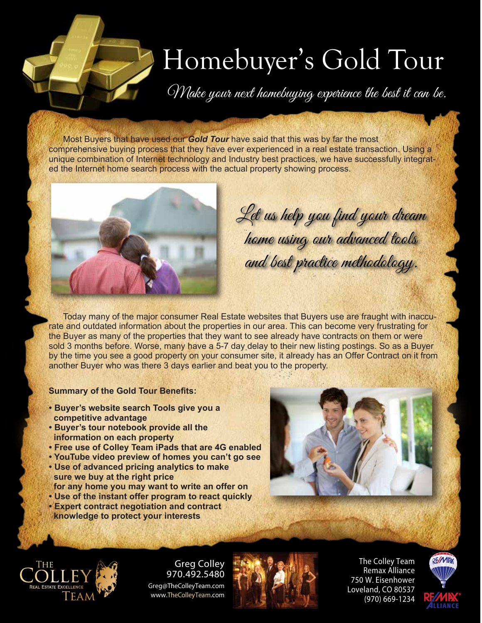## Homebuyer's Gold Tour

Make your next homebuying experience the best it can be.

Most Buyers that have used our *Gold Tour* have said that this was by far the most comprehensive buying process that they have ever experienced in a real estate transaction. Using a unique combination of Internet technology and Industry best practices, we have successfully integrated the Internet home search process with the actual property showing process.



Let us help you find your dream home using our advanced tools and best practice methodology.

Today many of the major consumer Real Estate websites that Buyers use are fraught with inaccurate and outdated information about the properties in our area. This can become very frustrating for the Buyer as many of the properties that they want to see already have contracts on them or were sold 3 months before. Worse, many have a 5-7 day delay to their new listing postings. So as a Buyer by the time you see a good property on your consumer site, it already has an Offer Contract on it from another Buyer who was there 3 days earlier and beat you to the property.

## **Summary of the Gold Tour Benefits:**

- **Buyer's website search Tools give you a competitive advantage**
- **Buyer's tour notebook provide all the information on each property**
- **Free use of Colley Team iPads that are 4G enabled**
- **YouTube video preview of homes you can't go see**
- **Use of advanced pricing analytics to make sure we buy at the right price for any home you may want to write an offer on**
- 
- **Use of the instant offer program to react quickly • Expert contract negotiation and contract**
- **knowledge to protect your interests**





Greg Colley 970.492.5480 Greg@TheColleyTeam.com www.**TheColleyTeam**.com



**The Colley Team Remax Alliance 750 W. Eisenhower Loveland, CO 80537 (970) 669-1234**